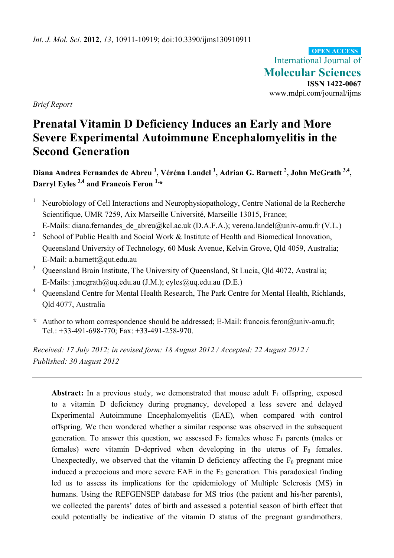International Journal of **Molecular Sciences ISSN 1422-0067**  www.mdpi.com/journal/ijms **OPEN ACCESS**

*Brief Report* 

# **Prenatal Vitamin D Deficiency Induces an Early and More Severe Experimental Autoimmune Encephalomyelitis in the Second Generation**

**Diana Andrea Fernandes de Abreu 1 , Véréna Landel 1 , Adrian G. Barnett 2 , John McGrath 3,4, Darryl Eyles 3,4 and Francois Feron 1,\*** 

- 1 Neurobiology of Cell Interactions and Neurophysiopathology, Centre National de la Recherche Scientifique, UMR 7259, Aix Marseille Université, Marseille 13015, France; E-Mails: diana.fernandes\_de\_abreu@kcl.ac.uk (D.A.F.A.); verena.landel@univ-amu.fr (V.L.)
- <sup>2</sup> School of Public Health and Social Work  $\&$  Institute of Health and Biomedical Innovation, Queensland University of Technology, 60 Musk Avenue, Kelvin Grove, Qld 4059, Australia; E-Mail: a.barnett@qut.edu.au
- <sup>3</sup> Queensland Brain Institute, The University of Queensland, St Lucia, Qld 4072, Australia; E-Mails: j.mcgrath@uq.edu.au (J.M.); eyles@uq.edu.au (D.E.)
- <sup>4</sup> Queensland Centre for Mental Health Research, The Park Centre for Mental Health, Richlands, Qld 4077, Australia
- **\*** Author to whom correspondence should be addressed; E-Mail: francois.feron@univ-amu.fr; Tel.: +33-491-698-770; Fax: +33-491-258-970.

*Received: 17 July 2012; in revised form: 18 August 2012 / Accepted: 22 August 2012 / Published: 30 August 2012* 

**Abstract:** In a previous study, we demonstrated that mouse adult  $F_1$  offspring, exposed to a vitamin D deficiency during pregnancy, developed a less severe and delayed Experimental Autoimmune Encephalomyelitis (EAE), when compared with control offspring. We then wondered whether a similar response was observed in the subsequent generation. To answer this question, we assessed  $F_2$  females whose  $F_1$  parents (males or females) were vitamin D-deprived when developing in the uterus of  $F_0$  females. Unexpectedly, we observed that the vitamin D deficiency affecting the  $F_0$  pregnant mice induced a precocious and more severe EAE in the  $F_2$  generation. This paradoxical finding led us to assess its implications for the epidemiology of Multiple Sclerosis (MS) in humans. Using the REFGENSEP database for MS trios (the patient and his/her parents), we collected the parents' dates of birth and assessed a potential season of birth effect that could potentially be indicative of the vitamin D status of the pregnant grandmothers.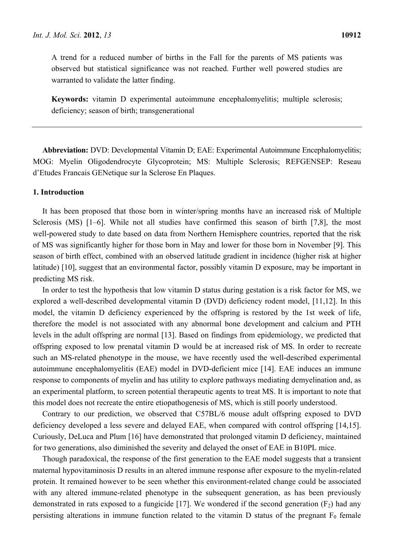A trend for a reduced number of births in the Fall for the parents of MS patients was observed but statistical significance was not reached. Further well powered studies are warranted to validate the latter finding.

**Keywords:** vitamin D experimental autoimmune encephalomyelitis; multiple sclerosis; deficiency; season of birth; transgenerational

**Abbreviation:** DVD: Developmental Vitamin D; EAE: Experimental Autoimmune Encephalomyelitis; MOG: Myelin Oligodendrocyte Glycoprotein; MS: Multiple Sclerosis; REFGENSEP: Reseau d'Etudes Francais GENetique sur la Sclerose En Plaques.

#### **1. Introduction**

It has been proposed that those born in winter/spring months have an increased risk of Multiple Sclerosis (MS) [1–6]. While not all studies have confirmed this season of birth [7,8], the most well-powered study to date based on data from Northern Hemisphere countries, reported that the risk of MS was significantly higher for those born in May and lower for those born in November [9]. This season of birth effect, combined with an observed latitude gradient in incidence (higher risk at higher latitude) [10], suggest that an environmental factor, possibly vitamin D exposure, may be important in predicting MS risk.

In order to test the hypothesis that low vitamin D status during gestation is a risk factor for MS, we explored a well-described developmental vitamin D (DVD) deficiency rodent model, [11,12]. In this model, the vitamin D deficiency experienced by the offspring is restored by the 1st week of life, therefore the model is not associated with any abnormal bone development and calcium and PTH levels in the adult offspring are normal [13]. Based on findings from epidemiology, we predicted that offspring exposed to low prenatal vitamin D would be at increased risk of MS. In order to recreate such an MS-related phenotype in the mouse, we have recently used the well-described experimental autoimmune encephalomyelitis (EAE) model in DVD-deficient mice [14]. EAE induces an immune response to components of myelin and has utility to explore pathways mediating demyelination and, as an experimental platform, to screen potential therapeutic agents to treat MS. It is important to note that this model does not recreate the entire etiopathogenesis of MS, which is still poorly understood.

Contrary to our prediction, we observed that C57BL/6 mouse adult offspring exposed to DVD deficiency developed a less severe and delayed EAE, when compared with control offspring [14,15]. Curiously, DeLuca and Plum [16] have demonstrated that prolonged vitamin D deficiency, maintained for two generations, also diminished the severity and delayed the onset of EAE in B10PL mice.

Though paradoxical, the response of the first generation to the EAE model suggests that a transient maternal hypovitaminosis D results in an altered immune response after exposure to the myelin-related protein. It remained however to be seen whether this environment-related change could be associated with any altered immune-related phenotype in the subsequent generation, as has been previously demonstrated in rats exposed to a fungicide [17]. We wondered if the second generation  $(F_2)$  had any persisting alterations in immune function related to the vitamin D status of the pregnant  $F_0$  female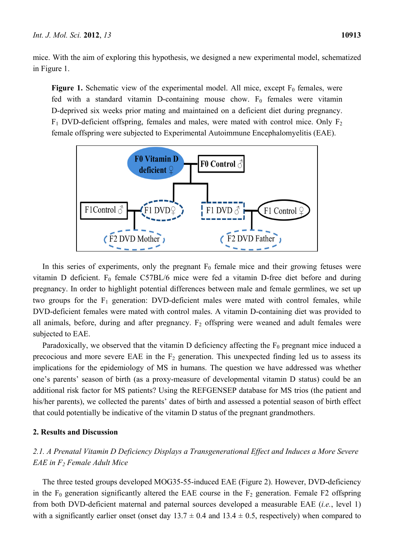mice. With the aim of exploring this hypothesis, we designed a new experimental model, schematized in Figure 1.

**Figure 1.** Schematic view of the experimental model. All mice, except  $F_0$  females, were fed with a standard vitamin D-containing mouse chow.  $F_0$  females were vitamin D-deprived six weeks prior mating and maintained on a deficient diet during pregnancy.  $F_1$  DVD-deficient offspring, females and males, were mated with control mice. Only  $F_2$ female offspring were subjected to Experimental Autoimmune Encephalomyelitis (EAE).



In this series of experiments, only the pregnant  $F_0$  female mice and their growing fetuses were vitamin D deficient.  $F_0$  female C57BL/6 mice were fed a vitamin D-free diet before and during pregnancy. In order to highlight potential differences between male and female germlines, we set up two groups for the  $F_1$  generation: DVD-deficient males were mated with control females, while DVD-deficient females were mated with control males. A vitamin D-containing diet was provided to all animals, before, during and after pregnancy.  $F_2$  offspring were weaned and adult females were subjected to EAE.

Paradoxically, we observed that the vitamin D deficiency affecting the  $F_0$  pregnant mice induced a precocious and more severe EAE in the  $F_2$  generation. This unexpected finding led us to assess its implications for the epidemiology of MS in humans. The question we have addressed was whether one's parents' season of birth (as a proxy-measure of developmental vitamin D status) could be an additional risk factor for MS patients? Using the REFGENSEP database for MS trios (the patient and his/her parents), we collected the parents' dates of birth and assessed a potential season of birth effect that could potentially be indicative of the vitamin D status of the pregnant grandmothers.

## **2. Results and Discussion**

# *2.1. A Prenatal Vitamin D Deficiency Displays a Transgenerational Effect and Induces a More Severe EAE in F2 Female Adult Mice*

The three tested groups developed MOG35-55-induced EAE (Figure 2). However, DVD-deficiency in the  $F_0$  generation significantly altered the EAE course in the  $F_2$  generation. Female F2 offspring from both DVD-deficient maternal and paternal sources developed a measurable EAE (*i.e.*, level 1) with a significantly earlier onset (onset day  $13.7 \pm 0.4$  and  $13.4 \pm 0.5$ , respectively) when compared to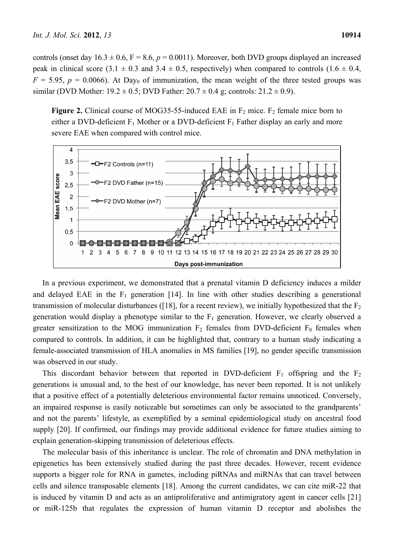controls (onset day  $16.3 \pm 0.6$ , F = 8.6,  $p = 0.0011$ ). Moreover, both DVD groups displayed an increased peak in clinical score (3.1  $\pm$  0.3 and 3.4  $\pm$  0.5, respectively) when compared to controls (1.6  $\pm$  0.4,  $F = 5.95$ ,  $p = 0.0066$ ). At Day<sub>0</sub> of immunization, the mean weight of the three tested groups was similar (DVD Mother:  $19.2 \pm 0.5$ ; DVD Father:  $20.7 \pm 0.4$  g; controls:  $21.2 \pm 0.9$ ).

**Figure 2.** Clinical course of MOG35-55-induced EAE in  $F_2$  mice.  $F_2$  female mice born to either a DVD-deficient  $F_1$  Mother or a DVD-deficient  $F_1$  Father display an early and more severe EAE when compared with control mice.



In a previous experiment, we demonstrated that a prenatal vitamin D deficiency induces a milder and delayed EAE in the  $F_1$  generation [14]. In line with other studies describing a generational transmission of molecular disturbances ([18], for a recent review), we initially hypothesized that the  $F_2$ generation would display a phenotype similar to the  $F_1$  generation. However, we clearly observed a greater sensitization to the MOG immunization  $F_2$  females from DVD-deficient  $F_0$  females when compared to controls. In addition, it can be highlighted that, contrary to a human study indicating a female-associated transmission of HLA anomalies in MS families [19], no gender specific transmission was observed in our study.

This discordant behavior between that reported in DVD-deficient  $F_1$  offspring and the  $F_2$ generations is unusual and, to the best of our knowledge, has never been reported. It is not unlikely that a positive effect of a potentially deleterious environmental factor remains unnoticed. Conversely, an impaired response is easily noticeable but sometimes can only be associated to the grandparents' and not the parents' lifestyle, as exemplified by a seminal epidemiological study on ancestral food supply [20]. If confirmed, our findings may provide additional evidence for future studies aiming to explain generation-skipping transmission of deleterious effects.

The molecular basis of this inheritance is unclear. The role of chromatin and DNA methylation in epigenetics has been extensively studied during the past three decades. However, recent evidence supports a bigger role for RNA in gametes, including piRNAs and miRNAs that can travel between cells and silence transposable elements [18]. Among the current candidates, we can cite miR-22 that is induced by vitamin D and acts as an antiproliferative and antimigratory agent in cancer cells [21] or miR-125b that regulates the expression of human vitamin D receptor and abolishes the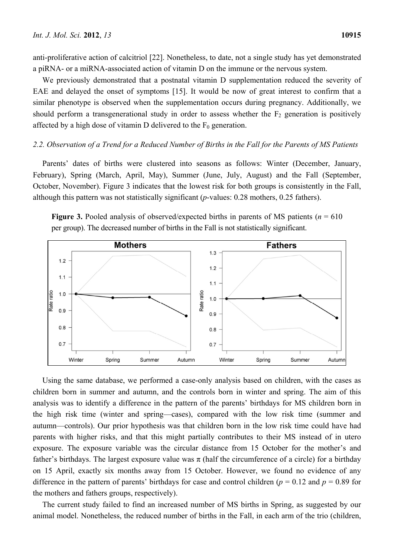anti-proliferative action of calcitriol [22]. Nonetheless, to date, not a single study has yet demonstrated a piRNA- or a miRNA-associated action of vitamin D on the immune or the nervous system.

We previously demonstrated that a postnatal vitamin D supplementation reduced the severity of EAE and delayed the onset of symptoms [15]. It would be now of great interest to confirm that a similar phenotype is observed when the supplementation occurs during pregnancy. Additionally, we should perform a transgenerational study in order to assess whether the  $F<sub>2</sub>$  generation is positively affected by a high dose of vitamin D delivered to the  $F_0$  generation.

#### *2.2. Observation of a Trend for a Reduced Number of Births in the Fall for the Parents of MS Patients*

Parents' dates of births were clustered into seasons as follows: Winter (December, January, February), Spring (March, April, May), Summer (June, July, August) and the Fall (September, October, November). Figure 3 indicates that the lowest risk for both groups is consistently in the Fall, although this pattern was not statistically significant (*p*-values: 0.28 mothers, 0.25 fathers).





Using the same database, we performed a case-only analysis based on children, with the cases as children born in summer and autumn, and the controls born in winter and spring. The aim of this analysis was to identify a difference in the pattern of the parents' birthdays for MS children born in the high risk time (winter and spring—cases), compared with the low risk time (summer and autumn—controls). Our prior hypothesis was that children born in the low risk time could have had parents with higher risks, and that this might partially contributes to their MS instead of in utero exposure. The exposure variable was the circular distance from 15 October for the mother's and father's birthdays. The largest exposure value was  $\pi$  (half the circumference of a circle) for a birthday on 15 April, exactly six months away from 15 October. However, we found no evidence of any difference in the pattern of parents' birthdays for case and control children ( $p = 0.12$  and  $p = 0.89$  for the mothers and fathers groups, respectively).

The current study failed to find an increased number of MS births in Spring, as suggested by our animal model. Nonetheless, the reduced number of births in the Fall, in each arm of the trio (children,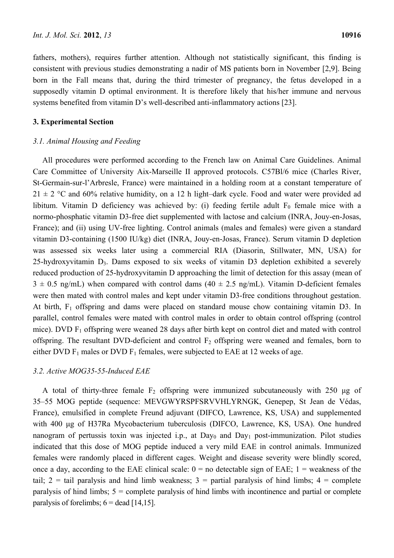fathers, mothers), requires further attention. Although not statistically significant, this finding is consistent with previous studies demonstrating a nadir of MS patients born in November [2,9]. Being born in the Fall means that, during the third trimester of pregnancy, the fetus developed in a supposedly vitamin D optimal environment. It is therefore likely that his/her immune and nervous systems benefited from vitamin D's well-described anti-inflammatory actions [23].

#### **3. Experimental Section**

#### *3.1. Animal Housing and Feeding*

All procedures were performed according to the French law on Animal Care Guidelines. Animal Care Committee of University Aix-Marseille II approved protocols. C57Bl/6 mice (Charles River, St-Germain-sur-l'Arbresle, France) were maintained in a holding room at a constant temperature of  $21 \pm 2$  °C and 60% relative humidity, on a 12 h light–dark cycle. Food and water were provided ad libitum. Vitamin D deficiency was achieved by: (i) feeding fertile adult  $F_0$  female mice with a normo-phosphatic vitamin D3-free diet supplemented with lactose and calcium (INRA, Jouy-en-Josas, France); and (ii) using UV-free lighting. Control animals (males and females) were given a standard vitamin D3-containing (1500 IU/kg) diet (INRA, Jouy-en-Josas, France). Serum vitamin D depletion was assessed six weeks later using a commercial RIA (Diasorin, Stillwater, MN, USA) for 25-hydroxyvitamin D3. Dams exposed to six weeks of vitamin D3 depletion exhibited a severely reduced production of 25-hydroxyvitamin D approaching the limit of detection for this assay (mean of  $3 \pm 0.5$  ng/mL) when compared with control dams (40  $\pm$  2.5 ng/mL). Vitamin D-deficient females were then mated with control males and kept under vitamin D3-free conditions throughout gestation. At birth,  $F_1$  offspring and dams were placed on standard mouse chow containing vitamin D3. In parallel, control females were mated with control males in order to obtain control offspring (control mice). DVD  $F_1$  offspring were weaned 28 days after birth kept on control diet and mated with control offspring. The resultant DVD-deficient and control  $F_2$  offspring were weaned and females, born to either DVD  $F_1$  males or DVD  $F_1$  females, were subjected to EAE at 12 weeks of age.

#### *3.2. Active MOG35-55-Induced EAE*

A total of thirty-three female  $F_2$  offspring were immunized subcutaneously with 250 μg of 35–55 MOG peptide (sequence: MEVGWYRSPFSRVVHLYRNGK, Genepep, St Jean de Védas, France), emulsified in complete Freund adjuvant (DIFCO, Lawrence, KS, USA) and supplemented with 400 μg of H37Ra Mycobacterium tuberculosis (DIFCO, Lawrence, KS, USA). One hundred nanogram of pertussis toxin was injected i.p., at  $Day_0$  and  $Day_1$  post-immunization. Pilot studies indicated that this dose of MOG peptide induced a very mild EAE in control animals. Immunized females were randomly placed in different cages. Weight and disease severity were blindly scored, once a day, according to the EAE clinical scale:  $0 =$  no detectable sign of EAE;  $1 =$  weakness of the tail;  $2 = \text{tail}$  paralysis and hind limb weakness;  $3 = \text{partial}$  partial paralysis of hind limbs;  $4 = \text{complete}$ paralysis of hind limbs; 5 = complete paralysis of hind limbs with incontinence and partial or complete paralysis of forelimbs;  $6 =$  dead [14,15].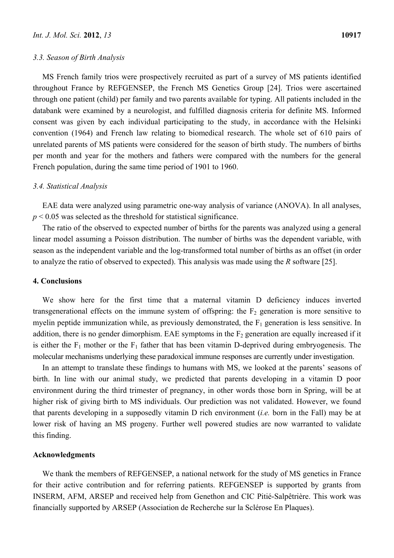MS French family trios were prospectively recruited as part of a survey of MS patients identified throughout France by REFGENSEP, the French MS Genetics Group [24]. Trios were ascertained through one patient (child) per family and two parents available for typing. All patients included in the databank were examined by a neurologist, and fulfilled diagnosis criteria for definite MS. Informed consent was given by each individual participating to the study, in accordance with the Helsinki convention (1964) and French law relating to biomedical research. The whole set of 610 pairs of unrelated parents of MS patients were considered for the season of birth study. The numbers of births per month and year for the mothers and fathers were compared with the numbers for the general French population, during the same time period of 1901 to 1960.

#### *3.4. Statistical Analysis*

EAE data were analyzed using parametric one-way analysis of variance (ANOVA). In all analyses,  $p < 0.05$  was selected as the threshold for statistical significance.

The ratio of the observed to expected number of births for the parents was analyzed using a general linear model assuming a Poisson distribution. The number of births was the dependent variable, with season as the independent variable and the log-transformed total number of births as an offset (in order to analyze the ratio of observed to expected). This analysis was made using the *R* software [25].

#### **4. Conclusions**

We show here for the first time that a maternal vitamin D deficiency induces inverted transgenerational effects on the immune system of offspring: the  $F_2$  generation is more sensitive to myelin peptide immunization while, as previously demonstrated, the  $F_1$  generation is less sensitive. In addition, there is no gender dimorphism. EAE symptoms in the  $F<sub>2</sub>$  generation are equally increased if it is either the  $F_1$  mother or the  $F_1$  father that has been vitamin D-deprived during embryogenesis. The molecular mechanisms underlying these paradoxical immune responses are currently under investigation.

In an attempt to translate these findings to humans with MS, we looked at the parents' seasons of birth. In line with our animal study, we predicted that parents developing in a vitamin D poor environment during the third trimester of pregnancy, in other words those born in Spring, will be at higher risk of giving birth to MS individuals. Our prediction was not validated. However, we found that parents developing in a supposedly vitamin D rich environment (*i.e.* born in the Fall) may be at lower risk of having an MS progeny. Further well powered studies are now warranted to validate this finding.

## **Acknowledgments**

We thank the members of REFGENSEP, a national network for the study of MS genetics in France for their active contribution and for referring patients. REFGENSEP is supported by grants from INSERM, AFM, ARSEP and received help from Genethon and CIC Pitié-Salpêtrière. This work was financially supported by ARSEP (Association de Recherche sur la Sclérose En Plaques).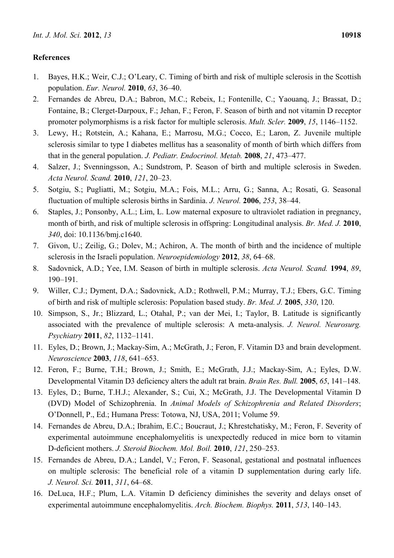# **References**

- 1. Bayes, H.K.; Weir, C.J.; O'Leary, C. Timing of birth and risk of multiple sclerosis in the Scottish population. *Eur. Neurol.* **2010**, *63*, 36–40.
- 2. Fernandes de Abreu, D.A.; Babron, M.C.; Rebeix, I.; Fontenille, C.; Yaouanq, J.; Brassat, D.; Fontaine, B.; Clerget-Darpoux, F.; Jehan, F.; Feron, F. Season of birth and not vitamin D receptor promoter polymorphisms is a risk factor for multiple sclerosis. *Mult. Scler.* **2009**, *15*, 1146–1152.
- 3. Lewy, H.; Rotstein, A.; Kahana, E.; Marrosu, M.G.; Cocco, E.; Laron, Z. Juvenile multiple sclerosis similar to type I diabetes mellitus has a seasonality of month of birth which differs from that in the general population. *J. Pediatr. Endocrinol. Metab.* **2008**, *21*, 473–477.
- 4. Salzer, J.; Svenningsson, A.; Sundstrom, P. Season of birth and multiple sclerosis in Sweden. *Acta Neurol. Scand.* **2010**, *121*, 20–23.
- 5. Sotgiu, S.; Pugliatti, M.; Sotgiu, M.A.; Fois, M.L.; Arru, G.; Sanna, A.; Rosati, G. Seasonal fluctuation of multiple sclerosis births in Sardinia. *J. Neurol.* **2006**, *253*, 38–44.
- 6. Staples, J.; Ponsonby, A.L.; Lim, L. Low maternal exposure to ultraviolet radiation in pregnancy, month of birth, and risk of multiple sclerosis in offspring: Longitudinal analysis. *Br. Med. J.* **2010**, *340*, doi: 10.1136/bmj.c1640.
- 7. Givon, U.; Zeilig, G.; Dolev, M.; Achiron, A. The month of birth and the incidence of multiple sclerosis in the Israeli population. *Neuroepidemiology* **2012**, *38*, 64–68.
- 8. Sadovnick, A.D.; Yee, I.M. Season of birth in multiple sclerosis. *Acta Neurol. Scand.* **1994**, *89*, 190–191.
- 9. Willer, C.J.; Dyment, D.A.; Sadovnick, A.D.; Rothwell, P.M.; Murray, T.J.; Ebers, G.C. Timing of birth and risk of multiple sclerosis: Population based study. *Br. Med. J.* **2005**, *330*, 120.
- 10. Simpson, S., Jr.; Blizzard, L.; Otahal, P.; van der Mei, I.; Taylor, B. Latitude is significantly associated with the prevalence of multiple sclerosis: A meta-analysis. *J. Neurol. Neurosurg. Psychiatry* **2011**, *82*, 1132–1141.
- 11. Eyles, D.; Brown, J.; Mackay-Sim, A.; McGrath, J.; Feron, F. Vitamin D3 and brain development. *Neuroscience* **2003**, *118*, 641–653.
- 12. Feron, F.; Burne, T.H.; Brown, J.; Smith, E.; McGrath, J.J.; Mackay-Sim, A.; Eyles, D.W. Developmental Vitamin D3 deficiency alters the adult rat brain. *Brain Res. Bull.* **2005**, *65*, 141–148.
- 13. Eyles, D.; Burne, T.H.J.; Alexander, S.; Cui, X.; McGrath, J.J. The Developmental Vitamin D (DVD) Model of Schizophrenia. In *Animal Models of Schizophrenia and Related Disorders*; O'Donnell, P., Ed.; Humana Press: Totowa, NJ, USA, 2011; Volume 59.
- 14. Fernandes de Abreu, D.A.; Ibrahim, E.C.; Boucraut, J.; Khrestchatisky, M.; Feron, F. Severity of experimental autoimmune encephalomyelitis is unexpectedly reduced in mice born to vitamin D-deficient mothers. *J. Steroid Biochem. Mol. Boil.* **2010**, *121*, 250–253.
- 15. Fernandes de Abreu, D.A.; Landel, V.; Feron, F. Seasonal, gestational and postnatal influences on multiple sclerosis: The beneficial role of a vitamin D supplementation during early life. *J. Neurol. Sci.* **2011**, *311*, 64–68.
- 16. DeLuca, H.F.; Plum, L.A. Vitamin D deficiency diminishes the severity and delays onset of experimental autoimmune encephalomyelitis. *Arch. Biochem. Biophys.* **2011**, *513*, 140–143.